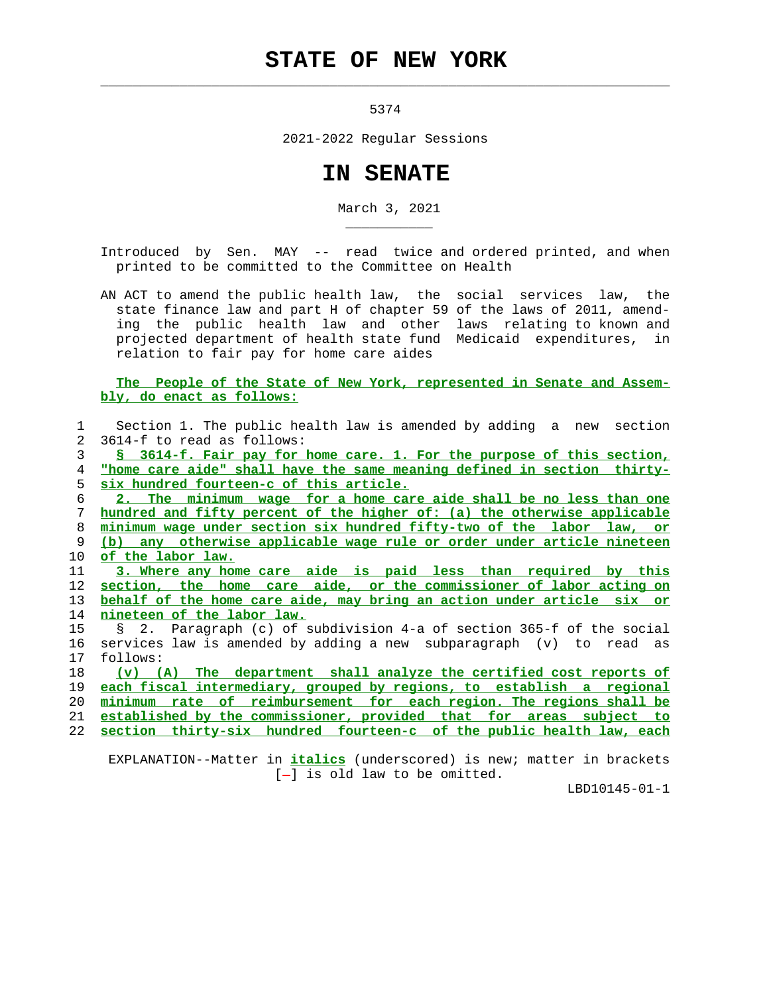## **STATE OF NEW YORK**

 $\mathcal{L}_\text{max} = \frac{1}{2} \sum_{i=1}^{n} \frac{1}{2} \sum_{i=1}^{n} \frac{1}{2} \sum_{i=1}^{n} \frac{1}{2} \sum_{i=1}^{n} \frac{1}{2} \sum_{i=1}^{n} \frac{1}{2} \sum_{i=1}^{n} \frac{1}{2} \sum_{i=1}^{n} \frac{1}{2} \sum_{i=1}^{n} \frac{1}{2} \sum_{i=1}^{n} \frac{1}{2} \sum_{i=1}^{n} \frac{1}{2} \sum_{i=1}^{n} \frac{1}{2} \sum_{i=1}^{n} \frac{1$ 

\_\_\_\_\_\_\_\_\_\_\_

5374

2021-2022 Regular Sessions

## **IN SENATE**

March 3, 2021

 Introduced by Sen. MAY -- read twice and ordered printed, and when printed to be committed to the Committee on Health

 AN ACT to amend the public health law, the social services law, the state finance law and part H of chapter 59 of the laws of 2011, amend ing the public health law and other laws relating to known and projected department of health state fund Medicaid expenditures, in relation to fair pay for home care aides

 **The People of the State of New York, represented in Senate and Assem bly, do enact as follows:**

| 1              | Section 1. The public health law is amended by adding a new section       |
|----------------|---------------------------------------------------------------------------|
| $\overline{a}$ | 3614-f to read as follows:                                                |
| 3              | \$ 3614-f. Fair pay for home care. 1. For the purpose of this section,    |
| 4              | "home care aide" shall have the same meaning defined in section thirty-   |
| 5              | six hundred fourteen-c of this article.                                   |
| 6              | 2. The minimum wage for a home care aide shall be no less than one        |
| 7              | hundred and fifty percent of the higher of: (a) the otherwise applicable  |
| 8              | minimum wage under section six hundred fifty-two of the labor law, or     |
| 9              | (b) any otherwise applicable wage rule or order under article nineteen    |
| 10             | of the labor law.                                                         |
| 11             | 3. Where any home care aide is paid less than required by this            |
| 12             | section, the home care aide, or the commissioner of labor acting on       |
| 13             | behalf of the home care aide, may bring an action under article six or    |
| 14             | nineteen of the labor law.                                                |
| 15             | § 2. Paragraph (c) of subdivision 4-a of section 365-f of the social      |
| 16             | services law is amended by adding a new subparagraph (v) to read as       |
| 17             | follows:                                                                  |
| 18             | The department shall analyze the certified cost reports of<br>$(v)$ $(A)$ |
| 19             | each fiscal intermediary, grouped by regions, to establish a regional     |
| 20             | minimum rate of reimbursement for each region. The regions shall be       |
| 21             | established by the commissioner, provided that for areas subject to       |
| 22             | section thirty-six hundred fourteen-c of the public health law, each      |
|                |                                                                           |
|                |                                                                           |

 $[-]$  is old law to be omitted.

LBD10145-01-1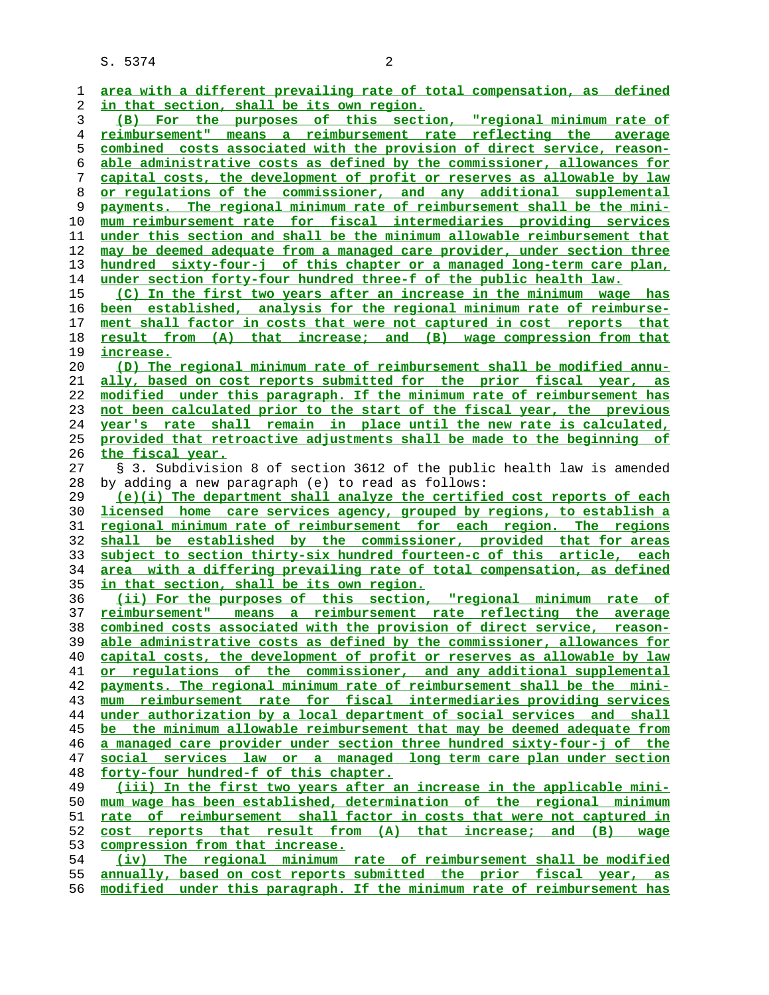| 1  | area with a different prevailing rate of total compensation, as defined                                                                        |
|----|------------------------------------------------------------------------------------------------------------------------------------------------|
| 2  | in that section, shall be its own region.                                                                                                      |
| 3  | For the purposes of this section, "regional minimum rate of<br>(B)                                                                             |
| 4  | reimbursement" means a reimbursement rate reflecting the<br>average                                                                            |
| 5  | combined costs associated with the provision of direct service, reason-                                                                        |
| 6  | able administrative costs as defined by the commissioner, allowances for                                                                       |
| 7  | capital costs, the development of profit or reserves as allowable by law                                                                       |
|    |                                                                                                                                                |
| 8  | or regulations of the commissioner, and any additional supplemental                                                                            |
| 9  | payments. The regional minimum rate of reimbursement shall be the mini-                                                                        |
| 10 | mum reimbursement rate for fiscal intermediaries providing services                                                                            |
| 11 | under this section and shall be the minimum allowable reimbursement that                                                                       |
| 12 | may be deemed adequate from a managed care provider, under section three                                                                       |
| 13 | hundred sixty-four-j of this chapter or a managed long-term care plan,                                                                         |
| 14 | under section forty-four hundred three-f of the public health law.                                                                             |
| 15 | (C) In the first two years after an increase in the minimum wage has                                                                           |
| 16 | been established, analysis for the regional minimum rate of reimburse-                                                                         |
| 17 | ment shall factor in costs that were not captured in cost reports that                                                                         |
|    | result from (A) that increase; and (B) wage compression from that                                                                              |
| 18 |                                                                                                                                                |
| 19 | <u>increase.</u>                                                                                                                               |
| 20 | (D) The regional minimum rate of reimbursement shall be modified annu-                                                                         |
| 21 | ally, based on cost reports submitted for the prior fiscal year,<br>$\overline{\mathbf{a}}\mathbf{s}$                                          |
| 22 | modified under this paragraph. If the minimum rate of reimbursement has                                                                        |
| 23 | not been calculated prior to the start of the fiscal year, the previous                                                                        |
| 24 | year's rate shall remain in place until the new rate is calculated,                                                                            |
| 25 | provided that retroactive adjustments shall be made to the beginning of                                                                        |
| 26 | the fiscal year.                                                                                                                               |
| 27 | § 3. Subdivision 8 of section 3612 of the public health law is amended                                                                         |
| 28 | by adding a new paragraph (e) to read as follows:                                                                                              |
| 29 |                                                                                                                                                |
|    | (e)(i) The department shall analyze the certified cost reports of each                                                                         |
| 30 | <u>licensed home care services agency, grouped by regions, to establish a</u>                                                                  |
| 31 | regional minimum rate of reimbursement for each region. The regions                                                                            |
| 32 | shall be established by the commissioner, provided that for areas                                                                              |
| 33 | subject to section thirty-six hundred fourteen-c of this article, each                                                                         |
| 34 | <u>area with a differing prevailing rate of total compensation, as defined</u>                                                                 |
| 35 | <u>in that section, shall be its own region.</u>                                                                                               |
| 36 | (ii) For the purposes of this section, "regional minimum rate of                                                                               |
| 37 | means a reimbursement rate reflecting the average<br>reimbursement"                                                                            |
| 38 | combined costs associated with the provision of direct service, reason-                                                                        |
| 39 | able administrative costs as defined by the commissioner, allowances for                                                                       |
| 40 | capital costs, the development of profit or reserves as allowable by law                                                                       |
| 41 | or regulations of the commissioner, and any additional supplemental                                                                            |
| 42 | payments. The regional minimum rate of reimbursement shall be the mini-                                                                        |
|    |                                                                                                                                                |
| 43 | reimbursement rate for fiscal intermediaries providing services<br>mum                                                                         |
| 44 | under authorization by a local department of social services and shall                                                                         |
| 45 | be the minimum allowable reimbursement that may be deemed adequate from                                                                        |
| 46 | a managed care provider under section three hundred sixty-four-j of the                                                                        |
| 47 | social services law or a managed long term care plan under section                                                                             |
| 48 | forty-four hundred-f of this chapter.                                                                                                          |
| 49 | (iii) In the first two years after an increase in the applicable mini-                                                                         |
| 50 | mum wage has been established, determination of the regional minimum                                                                           |
| 51 | rate of reimbursement shall factor in costs that were not captured in                                                                          |
| 52 | cost reports that result from (A) that increase; and (B) wage                                                                                  |
| 53 | compression from that increase.                                                                                                                |
|    | (iv) The regional minimum rate of reimbursement shall be modified                                                                              |
| 54 |                                                                                                                                                |
| 55 | annually, based on cost reports submitted the prior fiscal year, as<br>modified under this paragraph. If the minimum rate of reimbursement has |
| 56 |                                                                                                                                                |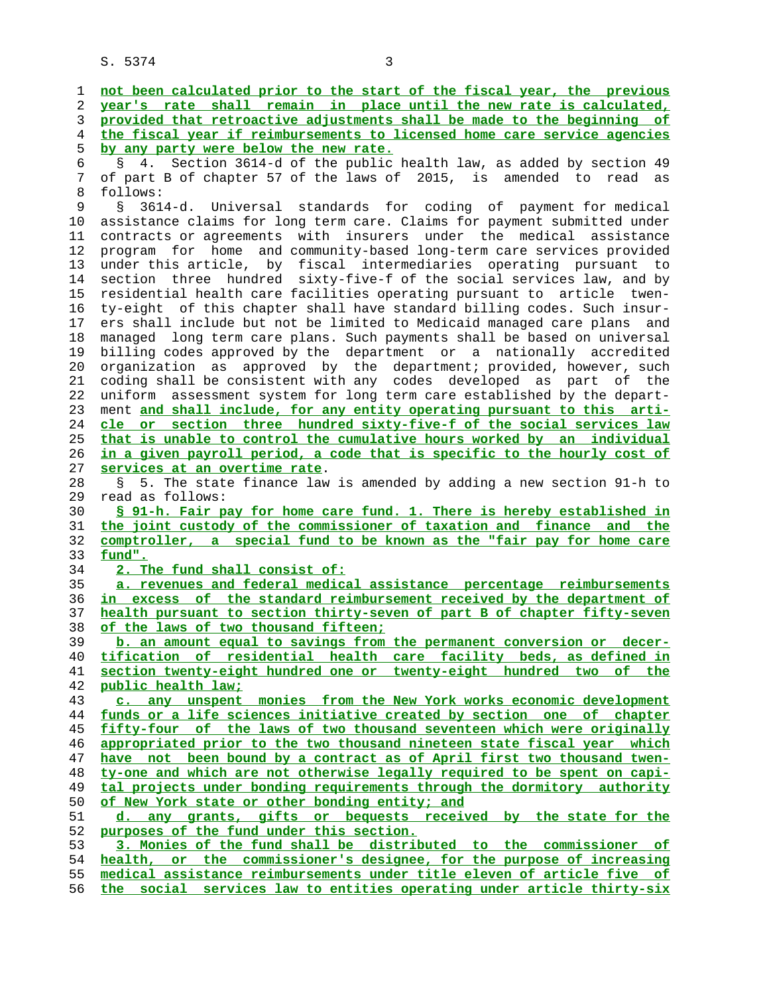**not been calculated prior to the start of the fiscal year, the previous year's rate shall remain in place until the new rate is calculated, provided that retroactive adjustments shall be made to the beginning of the fiscal year if reimbursements to licensed home care service agencies by any party were below the new rate.** 6 § 4. Section 3614-d of the public health law, as added by section 49 7 of part B of chapter 57 of the laws of 2015, is amended to read as 8 follows:<br>9 § 361 § 3614-d. Universal standards for coding of payment for medical 10 assistance claims for long term care. Claims for payment submitted under 11 contracts or agreements with insurers under the medical assistance 12 program for home and community-based long-term care services provided 13 under this article, by fiscal intermediaries operating pursuant to 14 section three hundred sixty-five-f of the social services law, and by 15 residential health care facilities operating pursuant to article twen- 16 ty-eight of this chapter shall have standard billing codes. Such insur- 17 ers shall include but not be limited to Medicaid managed care plans and 18 managed long term care plans. Such payments shall be based on universal 19 billing codes approved by the department or a nationally accredited 20 organization as approved by the department; provided, however, such 21 coding shall be consistent with any codes developed as part of the 22 uniform assessment system for long term care established by the depart- 23 ment **and shall include, for any entity operating pursuant to this arti- cle or section three hundred sixty-five-f of the social services law that is unable to control the cumulative hours worked by an individual in a given payroll period, a code that is specific to the hourly cost of services at an overtime rate**. 28 § 5. The state finance law is amended by adding a new section 91-h to 29 read as follows: **§ 91-h. Fair pay for home care fund. 1. There is hereby established in the joint custody of the commissioner of taxation and finance and the comptroller, a special fund to be known as the "fair pay for home care fund". 2. The fund shall consist of: a. revenues and federal medical assistance percentage reimbursements in excess of the standard reimbursement received by the department of health pursuant to section thirty-seven of part B of chapter fifty-seven of the laws of two thousand fifteen; b. an amount equal to savings from the permanent conversion or decer- tification of residential health care facility beds, as defined in section twenty-eight hundred one or twenty-eight hundred two of the public health law; c. any unspent monies from the New York works economic development funds or a life sciences initiative created by section one of chapter fifty-four of the laws of two thousand seventeen which were originally appropriated prior to the two thousand nineteen state fiscal year which have not been bound by a contract as of April first two thousand twen- ty-one and which are not otherwise legally required to be spent on capi- tal projects under bonding requirements through the dormitory authority of New York state or other bonding entity; and d. any grants, gifts or bequests received by the state for the purposes of the fund under this section. 3. Monies of the fund shall be distributed to the commissioner of health, or the commissioner's designee, for the purpose of increasing medical assistance reimbursements under title eleven of article five of the social services law to entities operating under article thirty-six**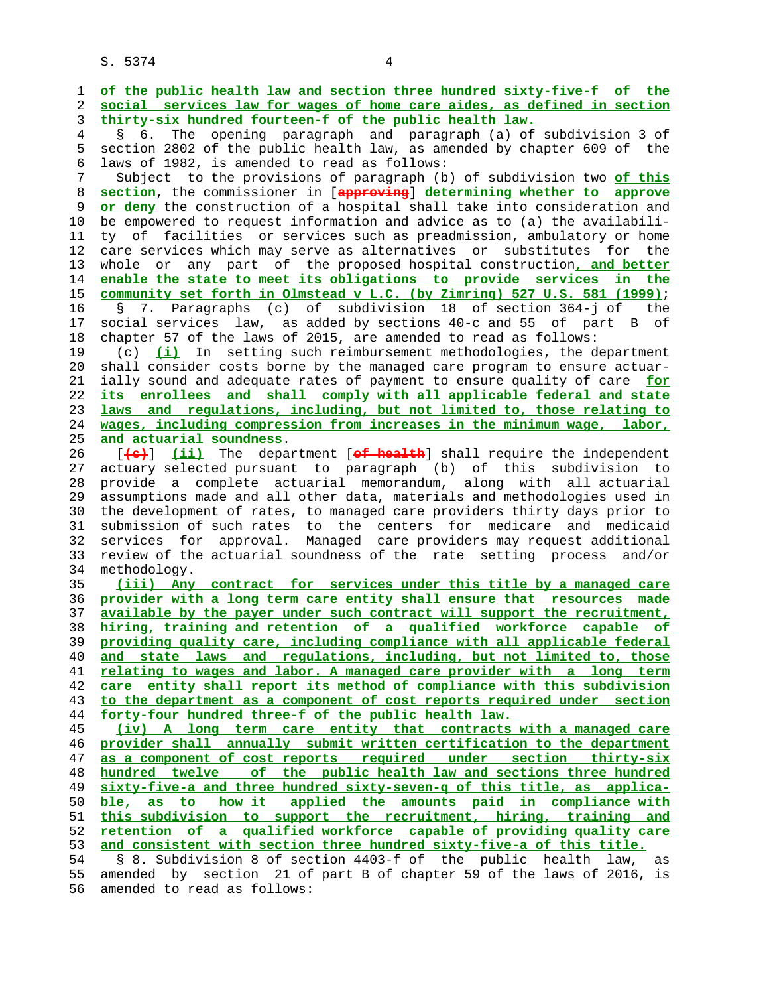1 **of the public health law and section three hundred sixty-five-f of the** 2 **social services law for wages of home care aides, as defined in section** 3 **thirty-six hundred fourteen-f of the public health law.** 4 § 6. The opening paragraph and paragraph (a) of subdivision 3 of 5 section 2802 of the public health law, as amended by chapter 609 of the 6 laws of 1982, is amended to read as follows: 7 Subject to the provisions of paragraph (b) of subdivision two **of this** 8 **section**, the commissioner in [**approving**] **determining whether to approve** or deny the construction of a hospital shall take into consideration and 10 be empowered to request information and advice as to (a) the availabili- 11 ty of facilities or services such as preadmission, ambulatory or home 12 care services which may serve as alternatives or substitutes for the 13 whole or any part of the proposed hospital construction**, and better** 14 **enable the state to meet its obligations to provide services in the** 15 **community set forth in Olmstead v L.C. (by Zimring) 527 U.S. 581 (1999)**; 16 § 7. Paragraphs (c) of subdivision 18 of section 364-j of the 17 social services law, as added by sections 40-c and 55 of part B of 18 chapter 57 of the laws of 2015, are amended to read as follows: 19 (c) **(i)** In setting such reimbursement methodologies, the department 20 shall consider costs borne by the managed care program to ensure actuar- 21 ially sound and adequate rates of payment to ensure quality of care **for** 22 **its enrollees and shall comply with all applicable federal and state** 23 **laws and regulations, including, but not limited to, those relating to** 24 **wages, including compression from increases in the minimum wage, labor,** 25 **and actuarial soundness**. 26 [**(c)**] **(ii)** The department [**of health**] shall require the independent 27 actuary selected pursuant to paragraph (b) of this subdivision to 28 provide a complete actuarial memorandum, along with all actuarial 29 assumptions made and all other data, materials and methodologies used in 30 the development of rates, to managed care providers thirty days prior to 31 submission of such rates to the centers for medicare and medicaid 32 services for approval. Managed care providers may request additional 33 review of the actuarial soundness of the rate setting process and/or 34 methodology. 35 **(iii) Any contract for services under this title by a managed care** 36 **provider with a long term care entity shall ensure that resources made** 37 **available by the payer under such contract will support the recruitment,** 38 **hiring, training and retention of a qualified workforce capable of** 39 **providing quality care, including compliance with all applicable federal** 40 **and state laws and regulations, including, but not limited to, those** 41 **relating to wages and labor. A managed care provider with a long term** 42 **care entity shall report its method of compliance with this subdivision** 43 **to the department as a component of cost reports required under section** 44 **forty-four hundred three-f of the public health law.** 45 **(iv) A long term care entity that contracts with a managed care** 46 **provider shall annually submit written certification to the department** 47 **as a component of cost reports required under section thirty-six** 48 **hundred twelve of the public health law and sections three hundred** 49 **sixty-five-a and three hundred sixty-seven-q of this title, as applica-** 50 **ble, as to how it applied the amounts paid in compliance with** 51 **this subdivision to support the recruitment, hiring, training and** 52 **retention of a qualified workforce capable of providing quality care** 53 **and consistent with section three hundred sixty-five-a of this title.** 54 § 8. Subdivision 8 of section 4403-f of the public health law, as 55 amended by section 21 of part B of chapter 59 of the laws of 2016, is 56 amended to read as follows: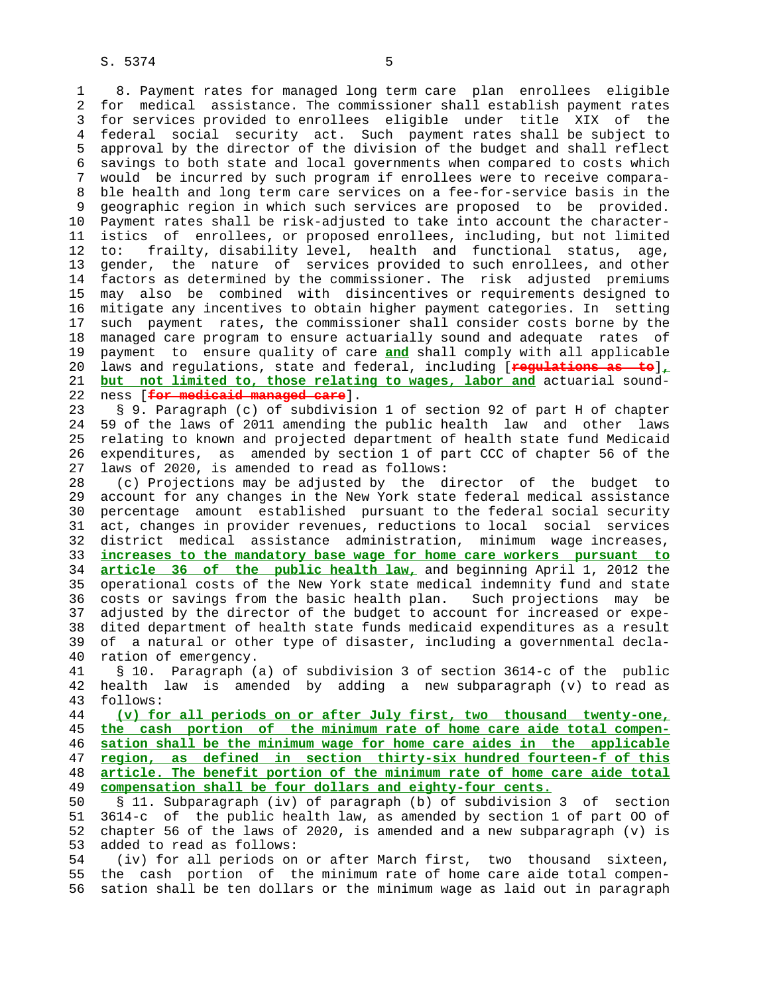1 8. Payment rates for managed long term care plan enrollees eligible 2 for medical assistance. The commissioner shall establish payment rates 3 for services provided to enrollees eligible under title XIX of the 4 federal social security act. Such payment rates shall be subject to 5 approval by the director of the division of the budget and shall reflect 6 savings to both state and local governments when compared to costs which 7 would be incurred by such program if enrollees were to receive compara- 8 ble health and long term care services on a fee-for-service basis in the 9 geographic region in which such services are proposed to be provided. 10 Payment rates shall be risk-adjusted to take into account the character- 11 istics of enrollees, or proposed enrollees, including, but not limited 12 to: frailty, disability level, health and functional status, age, 13 gender, the nature of services provided to such enrollees, and other 14 factors as determined by the commissioner. The risk adjusted premiums 15 may also be combined with disincentives or requirements designed to 16 mitigate any incentives to obtain higher payment categories. In setting 17 such payment rates, the commissioner shall consider costs borne by the 18 managed care program to ensure actuarially sound and adequate rates of 19 payment to ensure quality of care **and** shall comply with all applicable 20 laws and regulations, state and federal, including [**regulations as to**]**,** 21 **but not limited to, those relating to wages, labor and** actuarial sound- 22 ness [**for medicaid managed care**].

 23 § 9. Paragraph (c) of subdivision 1 of section 92 of part H of chapter 24 59 of the laws of 2011 amending the public health law and other laws 25 relating to known and projected department of health state fund Medicaid 26 expenditures, as amended by section 1 of part CCC of chapter 56 of the 27 laws of 2020, is amended to read as follows:

 28 (c) Projections may be adjusted by the director of the budget to 29 account for any changes in the New York state federal medical assistance 30 percentage amount established pursuant to the federal social security 31 act, changes in provider revenues, reductions to local social services 32 district medical assistance administration, minimum wage increases, 33 **increases to the mandatory base wage for home care workers pursuant to** 34 **article 36 of the public health law,** and beginning April 1, 2012 the 35 operational costs of the New York state medical indemnity fund and state 36 costs or savings from the basic health plan. Such projections may be 37 adjusted by the director of the budget to account for increased or expe- 38 dited department of health state funds medicaid expenditures as a result 39 of a natural or other type of disaster, including a governmental decla- 40 ration of emergency.

 41 § 10. Paragraph (a) of subdivision 3 of section 3614-c of the public 42 health law is amended by adding a new subparagraph (v) to read as 43 follows:

**(v) for all periods on or after July first, two thousand twenty-one, the cash portion of the minimum rate of home care aide total compen- sation shall be the minimum wage for home care aides in the applicable region, as defined in section thirty-six hundred fourteen-f of this article. The benefit portion of the minimum rate of home care aide total compensation shall be four dollars and eighty-four cents.**

 50 § 11. Subparagraph (iv) of paragraph (b) of subdivision 3 of section 51 3614-c of the public health law, as amended by section 1 of part OO of 52 chapter 56 of the laws of 2020, is amended and a new subparagraph (v) is 53 added to read as follows:

 54 (iv) for all periods on or after March first, two thousand sixteen, 55 the cash portion of the minimum rate of home care aide total compen- 56 sation shall be ten dollars or the minimum wage as laid out in paragraph